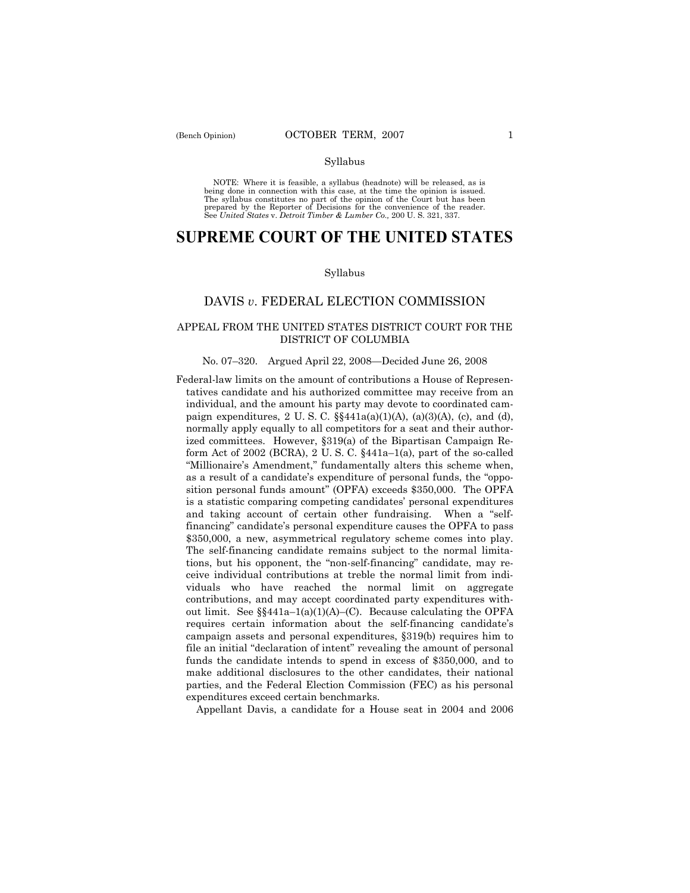NOTE: Where it is feasible, a syllabus (headnote) will be released, as is being done in connection with this case, at the time the opinion is issued. The syllabus constitutes no part of the opinion of the Court but has been<br>prepared by the Reporter of Decisions for the convenience of the reader.<br>See United States v. Detroit Timber & Lumber Co., 200 U. S. 321, 337.

# **SUPREME COURT OF THE UNITED STATES**

## Syllabus

## DAVIS *v*. FEDERAL ELECTION COMMISSION

## APPEAL FROM THE UNITED STATES DISTRICT COURT FOR THE DISTRICT OF COLUMBIA

## No. 07–320. Argued April 22, 2008—Decided June 26, 2008

Federal-law limits on the amount of contributions a House of Representatives candidate and his authorized committee may receive from an individual, and the amount his party may devote to coordinated campaign expenditures, 2 U.S.C.  $\S$  $441a(a)(1)(A)$ ,  $(a)(3)(A)$ ,  $(c)$ , and  $(d)$ , normally apply equally to all competitors for a seat and their authorized committees. However, §319(a) of the Bipartisan Campaign Reform Act of 2002 (BCRA), 2 U. S. C. §441a–1(a), part of the so-called "Millionaire's Amendment," fundamentally alters this scheme when, as a result of a candidate's expenditure of personal funds, the "opposition personal funds amount" (OPFA) exceeds \$350,000. The OPFA is a statistic comparing competing candidates' personal expenditures and taking account of certain other fundraising. When a "selffinancing" candidate's personal expenditure causes the OPFA to pass \$350,000, a new, asymmetrical regulatory scheme comes into play. The self-financing candidate remains subject to the normal limitations, but his opponent, the "non-self-financing" candidate, may receive individual contributions at treble the normal limit from individuals who have reached the normal limit on aggregate contributions, and may accept coordinated party expenditures without limit. See  $\S$ §441a–1(a)(1)(A)–(C). Because calculating the OPFA requires certain information about the self-financing candidate's campaign assets and personal expenditures, §319(b) requires him to file an initial "declaration of intent" revealing the amount of personal funds the candidate intends to spend in excess of \$350,000, and to make additional disclosures to the other candidates, their national parties, and the Federal Election Commission (FEC) as his personal expenditures exceed certain benchmarks.

Appellant Davis, a candidate for a House seat in 2004 and 2006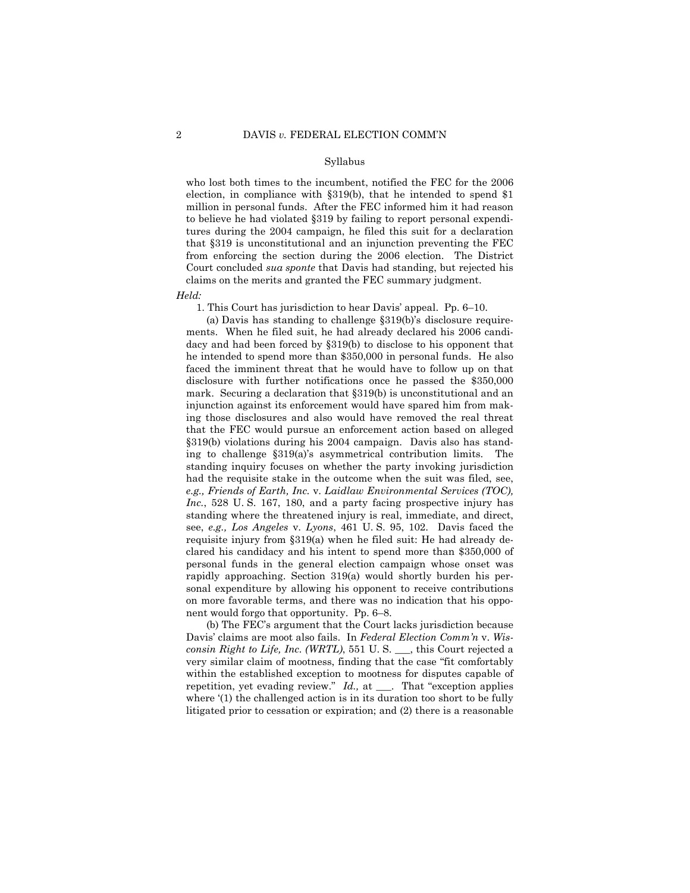who lost both times to the incumbent, notified the FEC for the 2006 election, in compliance with §319(b), that he intended to spend \$1 million in personal funds. After the FEC informed him it had reason to believe he had violated §319 by failing to report personal expenditures during the 2004 campaign, he filed this suit for a declaration that §319 is unconstitutional and an injunction preventing the FEC from enforcing the section during the 2006 election. The District Court concluded *sua sponte* that Davis had standing, but rejected his claims on the merits and granted the FEC summary judgment.

*Held:* 

1. This Court has jurisdiction to hear Davis' appeal. Pp. 6–10.

 (a) Davis has standing to challenge §319(b)'s disclosure requirements. When he filed suit, he had already declared his 2006 candidacy and had been forced by §319(b) to disclose to his opponent that he intended to spend more than \$350,000 in personal funds. He also faced the imminent threat that he would have to follow up on that disclosure with further notifications once he passed the \$350,000 mark. Securing a declaration that §319(b) is unconstitutional and an injunction against its enforcement would have spared him from making those disclosures and also would have removed the real threat that the FEC would pursue an enforcement action based on alleged §319(b) violations during his 2004 campaign. Davis also has standing to challenge §319(a)'s asymmetrical contribution limits. The standing inquiry focuses on whether the party invoking jurisdiction had the requisite stake in the outcome when the suit was filed, see, *e.g., Friends of Earth, Inc.* v. *Laidlaw Environmental Services (TOC), Inc.*, 528 U. S. 167, 180, and a party facing prospective injury has standing where the threatened injury is real, immediate, and direct, see, *e.g., Los Angeles* v. *Lyons*, 461 U. S. 95, 102. Davis faced the requisite injury from §319(a) when he filed suit: He had already declared his candidacy and his intent to spend more than \$350,000 of personal funds in the general election campaign whose onset was rapidly approaching. Section 319(a) would shortly burden his personal expenditure by allowing his opponent to receive contributions on more favorable terms, and there was no indication that his opponent would forgo that opportunity. Pp. 6–8.

 (b) The FEC's argument that the Court lacks jurisdiction because Davis' claims are moot also fails. In *Federal Election Comm'n* v. *Wisconsin Right to Life, Inc. (WRTL)*, 551 U. S. \_\_\_, this Court rejected a very similar claim of mootness, finding that the case "fit comfortably within the established exception to mootness for disputes capable of repetition, yet evading review." *Id.,* at \_\_\_. That "exception applies where '(1) the challenged action is in its duration too short to be fully litigated prior to cessation or expiration; and (2) there is a reasonable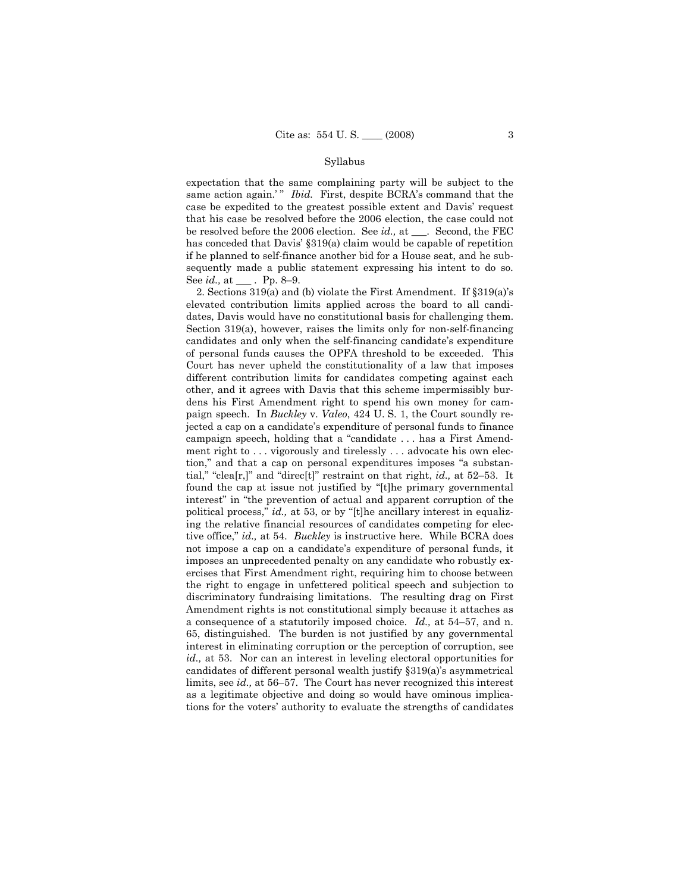expectation that the same complaining party will be subject to the same action again.'" *Ibid.* First, despite BCRA's command that the case be expedited to the greatest possible extent and Davis' request that his case be resolved before the 2006 election, the case could not be resolved before the 2006 election. See *id.,* at \_\_\_. Second, the FEC has conceded that Davis' §319(a) claim would be capable of repetition if he planned to self-finance another bid for a House seat, and he subsequently made a public statement expressing his intent to do so. See *id.,* at \_\_\_ . Pp. 8–9.

 2. Sections 319(a) and (b) violate the First Amendment. If §319(a)'s elevated contribution limits applied across the board to all candidates, Davis would have no constitutional basis for challenging them. Section 319(a), however, raises the limits only for non-self-financing candidates and only when the self-financing candidate's expenditure of personal funds causes the OPFA threshold to be exceeded. This Court has never upheld the constitutionality of a law that imposes different contribution limits for candidates competing against each other, and it agrees with Davis that this scheme impermissibly burdens his First Amendment right to spend his own money for campaign speech. In *Buckley* v. *Valeo*, 424 U. S. 1, the Court soundly rejected a cap on a candidate's expenditure of personal funds to finance campaign speech, holding that a "candidate . . . has a First Amendment right to ... vigorously and tirelessly ... advocate his own election," and that a cap on personal expenditures imposes "a substantial," "clea[r,]" and "direc[t]" restraint on that right, *id.,* at 52–53. It found the cap at issue not justified by "[t]he primary governmental interest" in "the prevention of actual and apparent corruption of the political process," *id.,* at 53, or by "[t]he ancillary interest in equalizing the relative financial resources of candidates competing for elective office," *id.,* at 54. *Buckley* is instructive here. While BCRA does not impose a cap on a candidate's expenditure of personal funds, it imposes an unprecedented penalty on any candidate who robustly exercises that First Amendment right, requiring him to choose between the right to engage in unfettered political speech and subjection to discriminatory fundraising limitations. The resulting drag on First Amendment rights is not constitutional simply because it attaches as a consequence of a statutorily imposed choice. *Id.,* at 54–57, and n. 65, distinguished. The burden is not justified by any governmental interest in eliminating corruption or the perception of corruption, see *id.,* at 53. Nor can an interest in leveling electoral opportunities for candidates of different personal wealth justify §319(a)'s asymmetrical limits, see *id.,* at 56–57. The Court has never recognized this interest as a legitimate objective and doing so would have ominous implications for the voters' authority to evaluate the strengths of candidates